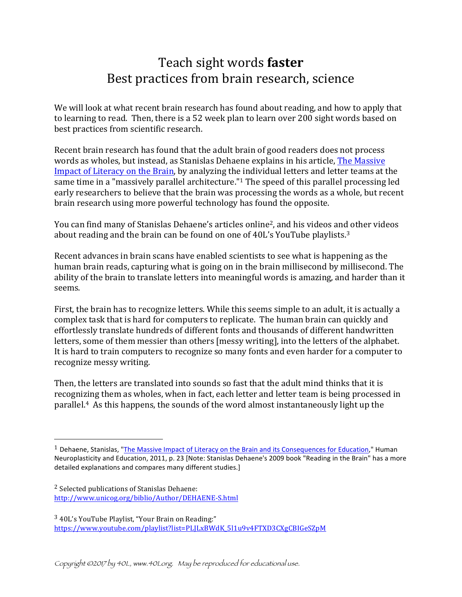# Teach sight words **faster** Best practices from brain research, science

We will look at what recent brain research has found about reading, and how to apply that to learning to read. Then, there is a 52 week plan to learn over 200 sight words based on best practices from scientific research.

Recent brain research has found that the adult brain of good readers does not process words as wholes, but instead, as Stanislas Dehaene explains in his article, The Massive Impact of Literacy on the Brain, by analyzing the individual letters and letter teams at the same time in a "massively parallel architecture." $1$  The speed of this parallel processing led early researchers to believe that the brain was processing the words as a whole, but recent brain research using more powerful technology has found the opposite.

You can find many of Stanislas Dehaene's articles online<sup>2</sup>, and his videos and other videos about reading and the brain can be found on one of  $40L's YouTube$  playlists.<sup>3</sup>

Recent advances in brain scans have enabled scientists to see what is happening as the human brain reads, capturing what is going on in the brain millisecond by millisecond. The ability of the brain to translate letters into meaningful words is amazing, and harder than it seems. 

First, the brain has to recognize letters. While this seems simple to an adult, it is actually a complex task that is hard for computers to replicate. The human brain can quickly and effortlessly translate hundreds of different fonts and thousands of different handwritten letters, some of them messier than others [messy writing], into the letters of the alphabet. It is hard to train computers to recognize so many fonts and even harder for a computer to recognize messy writing.

Then, the letters are translated into sounds so fast that the adult mind thinks that it is recognizing them as wholes, when in fact, each letter and letter team is being processed in parallel.<sup>4</sup> As this happens, the sounds of the word almost instantaneously light up the

<sup>2</sup> Selected publications of Stanislas Dehaene: http://www.unicog.org/biblio/Author/DEHAENE-S.html

 

<sup>3</sup> 40L's YouTube Playlist, "Your Brain on Reading:" https://www.youtube.com/playlist?list=PLJLxBWdK\_5l1u9v4FTXD3CXgCBIGeSZpM

 $1$  Dehaene, Stanislas, "The Massive Impact of Literacy on the Brain and its Consequences for Education," Human Neuroplasticity and Education, 2011, p. 23 [Note: Stanislas Dehaene's 2009 book "Reading in the Brain" has a more detailed explanations and compares many different studies.]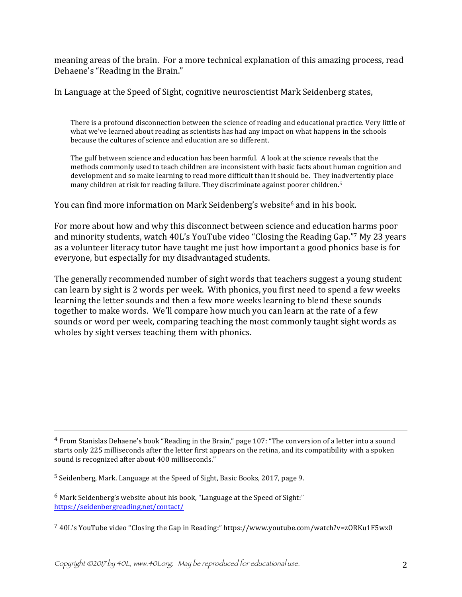meaning areas of the brain. For a more technical explanation of this amazing process, read Dehaene's "Reading in the Brain."

In Language at the Speed of Sight, cognitive neuroscientist Mark Seidenberg states,

There is a profound disconnection between the science of reading and educational practice. Very little of what we've learned about reading as scientists has had any impact on what happens in the schools because the cultures of science and education are so different.

The gulf between science and education has been harmful. A look at the science reveals that the methods commonly used to teach children are inconsistent with basic facts about human cognition and development and so make learning to read more difficult than it should be. They inadvertently place many children at risk for reading failure. They discriminate against poorer children.<sup>5</sup>

You can find more information on Mark Seidenberg's website<sup>6</sup> and in his book.

For more about how and why this disconnect between science and education harms poor and minority students, watch 40L's YouTube video "Closing the Reading Gap."7 My 23 years as a volunteer literacy tutor have taught me just how important a good phonics base is for everyone, but especially for my disadvantaged students.

The generally recommended number of sight words that teachers suggest a young student can learn by sight is 2 words per week. With phonics, you first need to spend a few weeks learning the letter sounds and then a few more weeks learning to blend these sounds together to make words. We'll compare how much you can learn at the rate of a few sounds or word per week, comparing teaching the most commonly taught sight words as wholes by sight verses teaching them with phonics.

<u> 1989 - Andrea San Andrea San Andrea San Andrea San Andrea San Andrea San Andrea San Andrea San Andrea San An</u>

 $4$  From Stanislas Dehaene's book "Reading in the Brain," page 107: "The conversion of a letter into a sound starts only 225 milliseconds after the letter first appears on the retina, and its compatibility with a spoken sound is recognized after about 400 milliseconds."

<sup>&</sup>lt;sup>5</sup> Seidenberg, Mark. Language at the Speed of Sight, Basic Books, 2017, page 9.

 $6$  Mark Seidenberg's website about his book, "Language at the Speed of Sight:" https://seidenbergreading.net/contact/

 $740L's YouTube video "Closing the Gap in Reading;" <https://www.voutube.com/watch?v=zORKu1F5wx0>$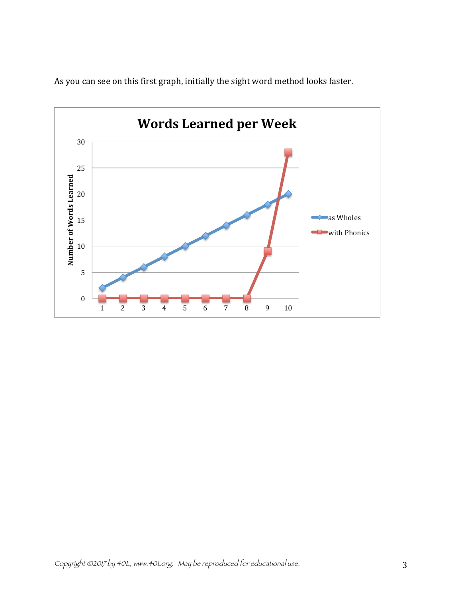

As you can see on this first graph, initially the sight word method looks faster.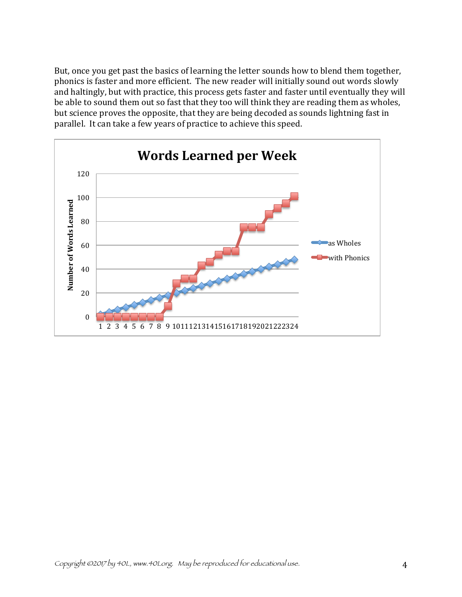But, once you get past the basics of learning the letter sounds how to blend them together, phonics is faster and more efficient. The new reader will initially sound out words slowly and haltingly, but with practice, this process gets faster and faster until eventually they will be able to sound them out so fast that they too will think they are reading them as wholes, but science proves the opposite, that they are being decoded as sounds lightning fast in parallel. It can take a few years of practice to achieve this speed.

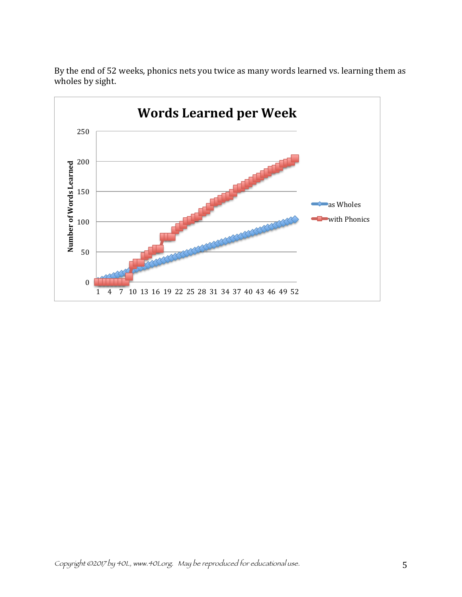

By the end of 52 weeks, phonics nets you twice as many words learned vs. learning them as wholes by sight.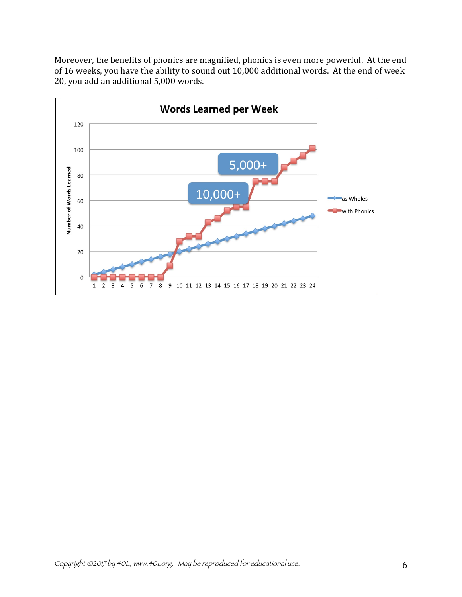Moreover, the benefits of phonics are magnified, phonics is even more powerful. At the end of 16 weeks, you have the ability to sound out 10,000 additional words. At the end of week 20, you add an additional 5,000 words.

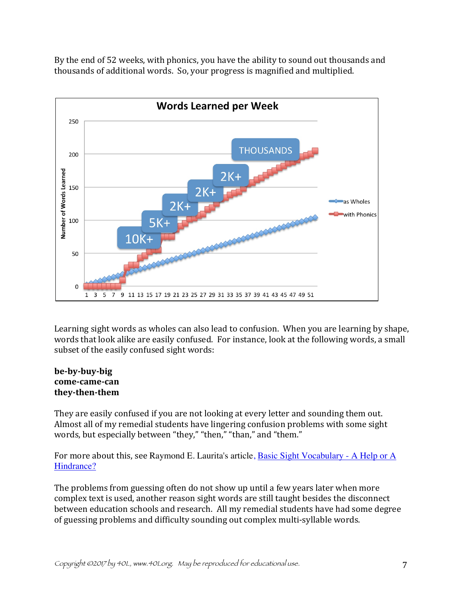By the end of 52 weeks, with phonics, you have the ability to sound out thousands and thousands of additional words. So, your progress is magnified and multiplied.



Learning sight words as wholes can also lead to confusion. When you are learning by shape, words that look alike are easily confused. For instance, look at the following words, a small subset of the easily confused sight words:

### **be-by-buy-big come-came-can they-then-them**

They are easily confused if you are not looking at every letter and sounding them out. Almost all of my remedial students have lingering confusion problems with some sight words, but especially between "they," "then," "than," and "them."

For more about this, see Raymond E. Laurita's article, **Basic Sight Vocabulary - A Help or A** Hindrance?

The problems from guessing often do not show up until a few years later when more complex text is used, another reason sight words are still taught besides the disconnect between education schools and research. All my remedial students have had some degree of guessing problems and difficulty sounding out complex multi-syllable words.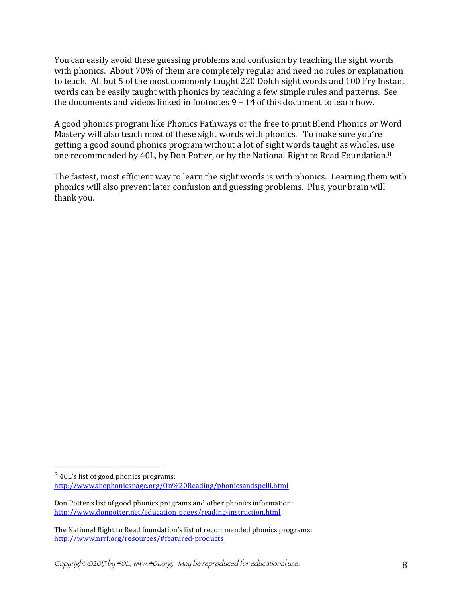You can easily avoid these guessing problems and confusion by teaching the sight words with phonics. About 70% of them are completely regular and need no rules or explanation to teach. All but 5 of the most commonly taught 220 Dolch sight words and 100 Fry Instant words can be easily taught with phonics by teaching a few simple rules and patterns. See the documents and videos linked in footnotes  $9 - 14$  of this document to learn how.

A good phonics program like Phonics Pathways or the free to print Blend Phonics or Word Mastery will also teach most of these sight words with phonics. To make sure you're getting a good sound phonics program without a lot of sight words taught as wholes, use one recommended by 40L, by Don Potter, or by the National Right to Read Foundation.<sup>8</sup>

The fastest, most efficient way to learn the sight words is with phonics. Learning them with phonics will also prevent later confusion and guessing problems. Plus, your brain will thank you.

 

<sup>&</sup>lt;sup>8</sup> 40L's list of good phonics programs: http://www.thephonicspage.org/On%20Reading/phonicsandspelli.html

Don Potter's list of good phonics programs and other phonics information: http://www.donpotter.net/education\_pages/reading-instruction.html

The National Right to Read foundation's list of recommended phonics programs: http://www.nrrf.org/resources/#featured-products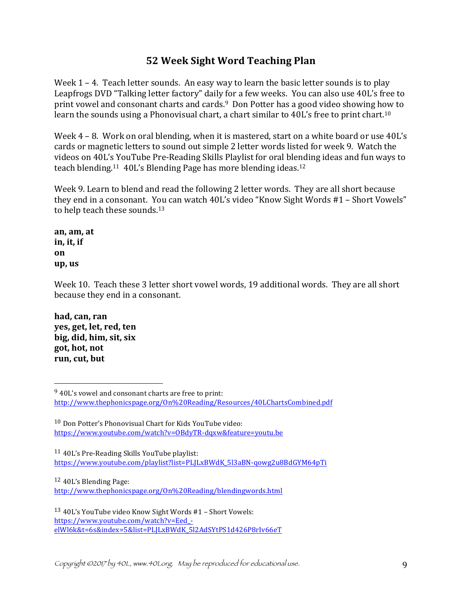# **52 Week Sight Word Teaching Plan**

Week  $1 - 4$ . Teach letter sounds. An easy way to learn the basic letter sounds is to play Leapfrogs DVD "Talking letter factory" daily for a few weeks. You can also use 40L's free to print vowel and consonant charts and cards.<sup>9</sup> Don Potter has a good video showing how to learn the sounds using a Phonovisual chart, a chart similar to 40L's free to print chart.<sup>10</sup>

Week  $4 - 8$ . Work on oral blending, when it is mastered, start on a white board or use  $40L's$ cards or magnetic letters to sound out simple 2 letter words listed for week 9. Watch the videos on 40L's YouTube Pre-Reading Skills Playlist for oral blending ideas and fun ways to teach blending.<sup>11</sup>  $40L's$  Blending Page has more blending ideas.<sup>12</sup>

Week 9. Learn to blend and read the following 2 letter words. They are all short because they end in a consonant. You can watch 40L's video "Know Sight Words #1 - Short Vowels" to help teach these sounds.<sup>13</sup>

**an, am, at in, it, if on up, us**

Week 10. Teach these 3 letter short yowel words, 19 additional words. They are all short because they end in a consonant.

**had, can, ran yes, get, let, red, ten big, did, him, sit, six got, hot, not** run, cut, but

 

 $11$  40L's Pre-Reading Skills YouTube playlist: https://www.youtube.com/playlist?list=PLJLxBWdK\_5l3aBN-qowg2u8BdGYM64pTi

 $12$  40L's Blending Page:

http://www.thephonicspage.org/On%20Reading/blendingwords.html

<sup>13</sup> 40L's YouTube video Know Sight Words #1 - Short Vowels: https://www.youtube.com/watch?v=Eed\_ elWl6k&t=6s&index=5&list=PLJLxBWdK\_5l2AdSYtPS1d426P8rIv66eT

 $9$  40L's vowel and consonant charts are free to print: http://www.thephonicspage.org/On%20Reading/Resources/40LChartsCombined.pdf

 $10$  Don Potter's Phonovisual Chart for Kids YouTube video: https://www.youtube.com/watch?v=OBdyTR-dqxw&feature=youtu.be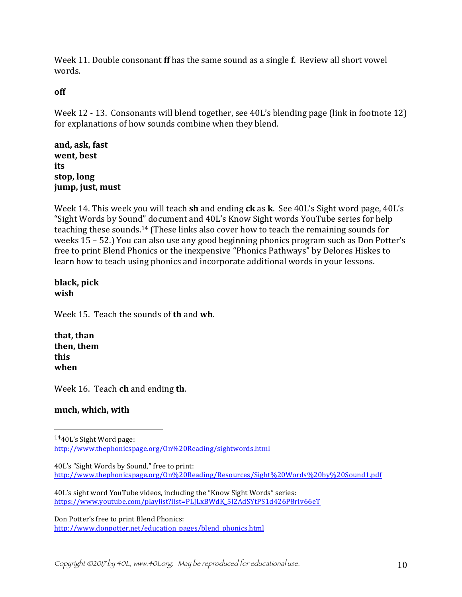Week 11. Double consonant **ff** has the same sound as a single **f**. Review all short yowel words. 

# **off**

Week  $12 - 13$ . Consonants will blend together, see  $40L$ 's blending page (link in footnote 12) for explanations of how sounds combine when they blend.

**and, ask, fast went, best its** stop, long **jump, just, must** 

Week 14. This week you will teach **sh** and ending **ck** as **k**. See 40L's Sight word page, 40L's "Sight Words by Sound" document and 40L's Know Sight words YouTube series for help teaching these sounds.<sup>14</sup> (These links also cover how to teach the remaining sounds for weeks  $15 - 52$ .) You can also use any good beginning phonics program such as Don Potter's free to print Blend Phonics or the inexpensive "Phonics Pathways" by Delores Hiskes to learn how to teach using phonics and incorporate additional words in your lessons.

## **black, pick wish**

Week 15. Teach the sounds of **th** and **wh**.

**that, than then, them this when**

Week 16. Teach **ch** and ending **th**.

 

# **much, which, with**

40L's sight word YouTube videos, including the "Know Sight Words" series: https://www.youtube.com/playlist?list=PLJLxBWdK\_5l2AdSYtPS1d426P8rIv66eT

Don Potter's free to print Blend Phonics: http://www.donpotter.net/education\_pages/blend\_phonics.html

 $1440$ L's Sight Word page: http://www.thephonicspage.org/On%20Reading/sightwords.html

<sup>40</sup>L's "Sight Words by Sound," free to print: http://www.thephonicspage.org/On%20Reading/Resources/Sight%20Words%20by%20Sound1.pdf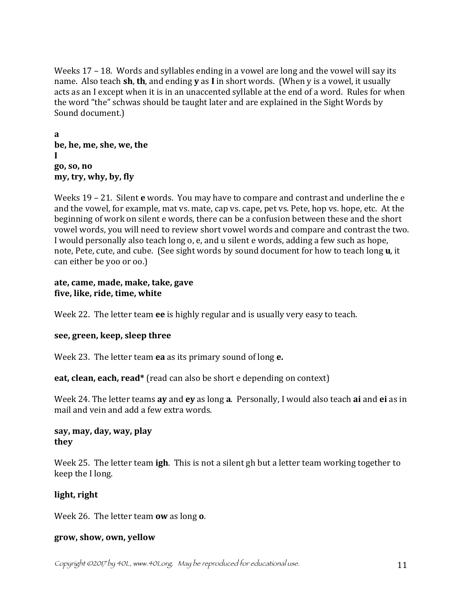Weeks  $17 - 18$ . Words and syllables ending in a vowel are long and the vowel will say its name. Also teach **sh**, **th**, and ending **y** as **I** in short words. (When y is a vowel, it usually acts as an I except when it is in an unaccented syllable at the end of a word. Rules for when the word "the" schwas should be taught later and are explained in the Sight Words by Sound document.)

**a be, he, me, she, we, the I go, so, no my, try, why, by, fly** 

Weeks 19 – 21. Silent **e** words. You may have to compare and contrast and underline the e and the vowel, for example, mat vs. mate, cap vs. cape, pet vs. Pete, hop vs. hope, etc. At the beginning of work on silent e words, there can be a confusion between these and the short vowel words, you will need to review short vowel words and compare and contrast the two. I would personally also teach long o, e, and u silent e words, adding a few such as hope, note, Pete, cute, and cube. (See sight words by sound document for how to teach long **u**, it can either be yoo or oo.)

# **ate, came, made, make, take, gave five, like, ride, time, white**

Week 22. The letter team ee is highly regular and is usually very easy to teach.

# **see, green, keep, sleep three**

Week 23. The letter team **ea** as its primary sound of long **e.** 

**eat, clean, each, read\*** (read can also be short e depending on context)

Week 24. The letter teams ay and ey as long a. Personally, I would also teach ai and ei as in mail and vein and add a few extra words.

# say, may, day, way, play **they**

Week 25. The letter team **igh**. This is not a silent gh but a letter team working together to keep the I long.

# **light, right**

Week 26. The letter team **ow** as long **o**.

# **grow, show, own, yellow**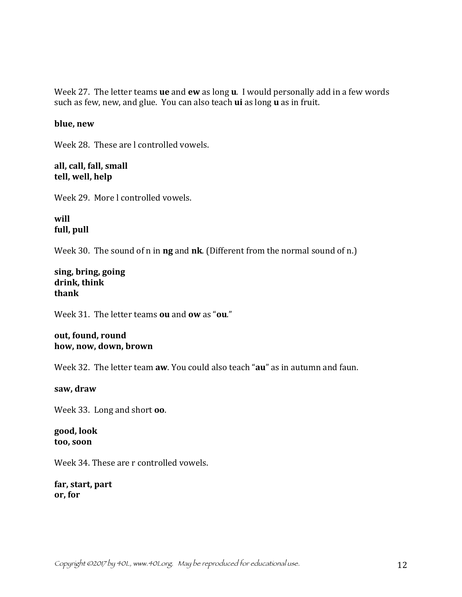Week 27. The letter teams **ue** and **ew** as long **u**. I would personally add in a few words such as few, new, and glue. You can also teach **ui** as long **u** as in fruit.

### **blue, new**

Week 28. These are l controlled vowels.

all, call, fall, small tell, well, help

Week 29. More Lcontrolled vowels.

**will** full, pull

Week 30. The sound of n in **ng** and **nk**. (Different from the normal sound of n.)

**sing, bring, going drink, think thank**

Week 31. The letter teams **ou** and **ow** as "**ou**."

### out, found, round how, now, down, brown

Week 32. The letter team **aw**. You could also teach "**au**" as in autumn and faun.

**saw, draw**

Week 33. Long and short **oo**.

**good, look too, soon**

Week 34. These are r controlled vowels.

**far, start, part or, for**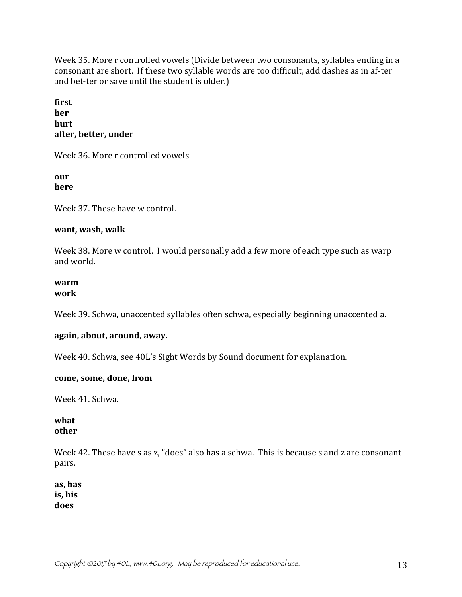Week 35. More r controlled vowels (Divide between two consonants, syllables ending in a consonant are short. If these two syllable words are too difficult, add dashes as in af-ter and bet-ter or save until the student is older.)

**first her hurt** after, better, under

Week 36. More r controlled vowels

**our here**

Week 37. These have w control.

# **want, wash, walk**

Week 38. More w control. I would personally add a few more of each type such as warp and world.

#### **warm work**

Week 39. Schwa, unaccented syllables often schwa, especially beginning unaccented a.

# again, about, around, away.

Week 40. Schwa, see 40L's Sight Words by Sound document for explanation.

# come, some, done, from

Week 41. Schwa.

# **what other**

Week 42. These have s as z, "does" also has a schwa. This is because s and z are consonant pairs.

**as, has is, his does**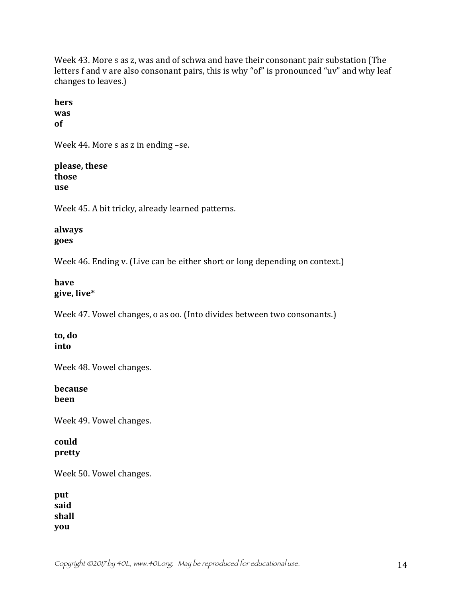Week 43. More s as z, was and of schwa and have their consonant pair substation (The letters f and v are also consonant pairs, this is why "of" is pronounced "uv" and why leaf changes to leaves.)

**hers was of**

Week 44. More  $s$  as  $z$  in ending  $-s$ e.

**please, these those use**

Week 45. A bit tricky, already learned patterns.

## **always goes**

Week 46. Ending v. (Live can be either short or long depending on context.)

# **have give, live\***

Week 47. Vowel changes, o as oo. (Into divides between two consonants.)

### **to, do into**

Week 48. Vowel changes.

### **because been**

Week 49. Vowel changes.

### **could pretty**

Week 50. Vowel changes.

**put said shall you**